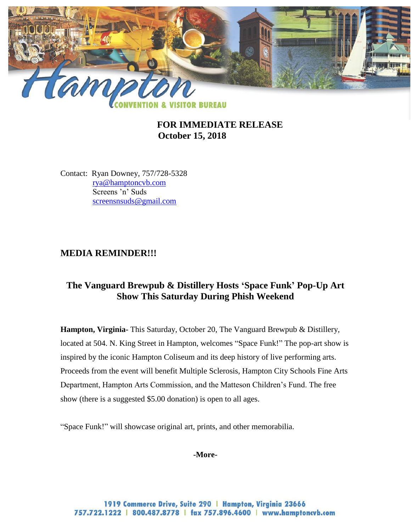

# **FOR IMMEDIATE RELEASE October 15, 2018**

Contact: Ryan Downey, 757/728-5328 [rya@hamptoncvb.com](mailto:rya@hamptoncvb.com) Screens 'n' Suds [screensnsuds@gmail.com](mailto:screensnsuds@gmail.com)

### **MEDIA REMINDER!!!**

# **The Vanguard Brewpub & Distillery Hosts 'Space Funk' Pop-Up Art Show This Saturday During Phish Weekend**

**Hampton, Virginia-** This Saturday, October 20, The Vanguard Brewpub & Distillery, located at 504. N. King Street in Hampton, welcomes "Space Funk!" The pop-art show is inspired by the iconic Hampton Coliseum and its deep history of live performing arts. Proceeds from the event will benefit Multiple Sclerosis, Hampton City Schools Fine Arts Department, Hampton Arts Commission, and the Matteson Children's Fund. The free show (there is a suggested \$5.00 donation) is open to all ages.

"Space Funk!" will showcase original art, prints, and other memorabilia.

#### **-More-**

1919 Commerce Drive, Suite 290 | Hampton, Virginia 23666 757.722.1222 | 800.487.8778 | fax 757.896.4600 | www.hamptoncvb.com